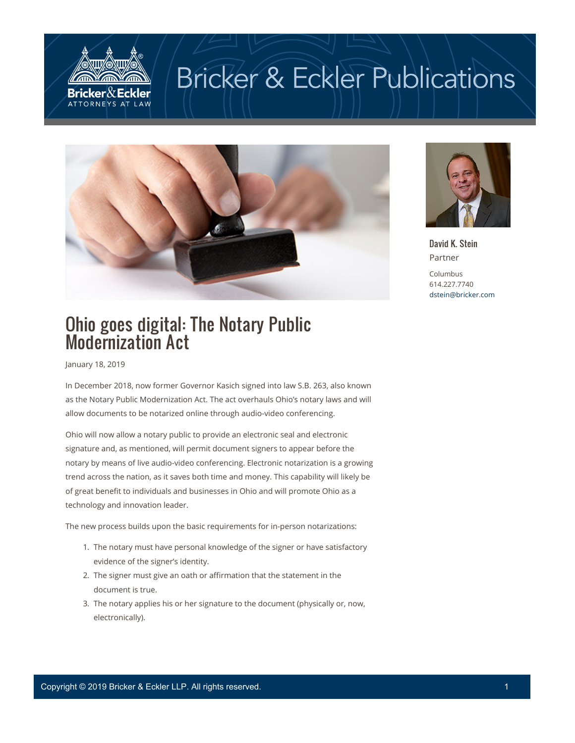

## **Bricker & Eckler Publications**





David K. Stein Partner Columbus 614.227.7740 [dstein@bricker.com](mailto:dstein@bricker.com)

## Ohio goes digital: The Notary Public Modernization Act

January 18, 2019

In December 2018, now former Governor Kasich signed into law S.B. 263, also known as the Notary Public Modernization Act. The act overhauls Ohio's notary laws and will allow documents to be notarized online through audio-video conferencing.

Ohio will now allow a notary public to provide an electronic seal and electronic signature and, as mentioned, will permit document signers to appear before the notary by means of live audio-video conferencing. Electronic notarization is a growing trend across the nation, as it saves both time and money. This capability will likely be of great benefit to individuals and businesses in Ohio and will promote Ohio as a technology and innovation leader.

The new process builds upon the basic requirements for in-person notarizations:

- 1. The notary must have personal knowledge of the signer or have satisfactory evidence of the signer's identity.
- 2. The signer must give an oath or affirmation that the statement in the document is true.
- 3. The notary applies his or her signature to the document (physically or, now, electronically).